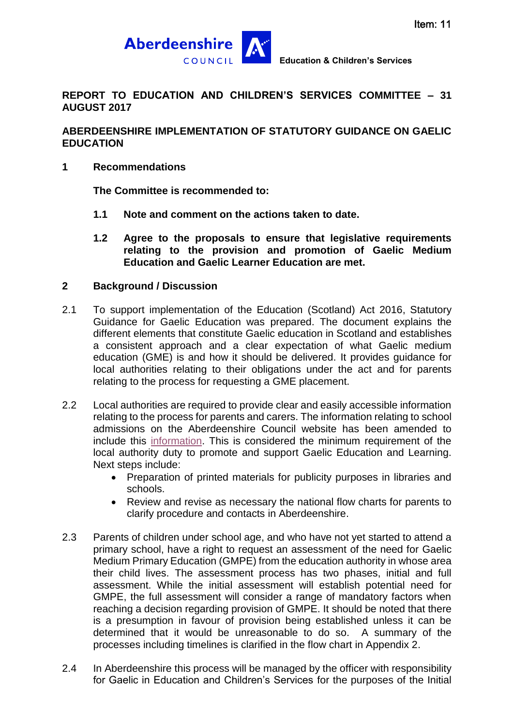

**REPORT TO EDUCATION AND CHILDREN'S SERVICES COMMITTEE – 31 AUGUST 2017**

# **ABERDEENSHIRE IMPLEMENTATION OF STATUTORY GUIDANCE ON GAELIC EDUCATION**

#### **1 Recommendations**

**The Committee is recommended to:**

- **1.1 Note and comment on the actions taken to date.**
- **1.2 Agree to the proposals to ensure that legislative requirements relating to the provision and promotion of Gaelic Medium Education and Gaelic Learner Education are met.**

# **2 Background / Discussion**

- 2.1 To support implementation of the Education (Scotland) Act 2016, Statutory Guidance for Gaelic Education was prepared. The document explains the different elements that constitute Gaelic education in Scotland and establishes a consistent approach and a clear expectation of what Gaelic medium education (GME) is and how it should be delivered. It provides guidance for local authorities relating to their obligations under the act and for parents relating to the process for requesting a GME placement.
- 2.2 Local authorities are required to provide clear and easily accessible information relating to the process for parents and carers. The information relating to school admissions on the Aberdeenshire Council website has been amended to include this [information.](http://www.aberdeenshire.gov.uk/schools/information/gaelic-in-schools/) This is considered the minimum requirement of the local authority duty to promote and support Gaelic Education and Learning. Next steps include:
	- Preparation of printed materials for publicity purposes in libraries and schools.
	- Review and revise as necessary the national flow charts for parents to clarify procedure and contacts in Aberdeenshire.
- 2.3 Parents of children under school age, and who have not yet started to attend a primary school, have a right to request an assessment of the need for Gaelic Medium Primary Education (GMPE) from the education authority in whose area their child lives. The assessment process has two phases, initial and full assessment. While the initial assessment will establish potential need for GMPE, the full assessment will consider a range of mandatory factors when reaching a decision regarding provision of GMPE. It should be noted that there is a presumption in favour of provision being established unless it can be determined that it would be unreasonable to do so. A summary of the processes including timelines is clarified in the flow chart in Appendix 2.
- 2.4 In Aberdeenshire this process will be managed by the officer with responsibility for Gaelic in Education and Children's Services for the purposes of the Initial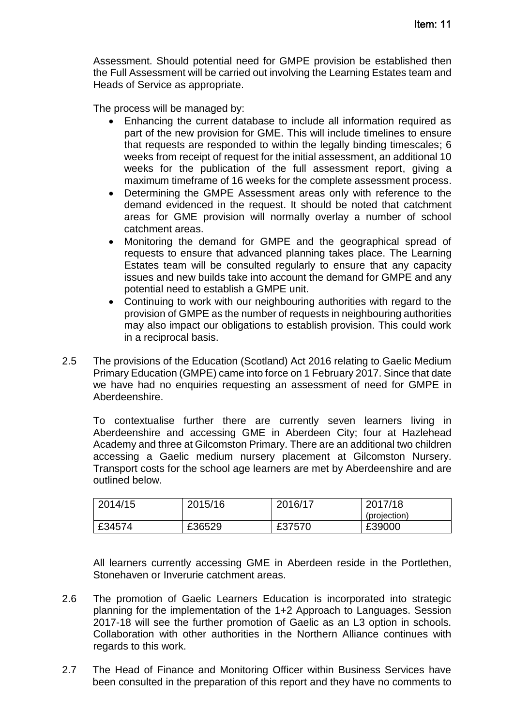Assessment. Should potential need for GMPE provision be established then the Full Assessment will be carried out involving the Learning Estates team and Heads of Service as appropriate.

The process will be managed by:

- Enhancing the current database to include all information required as part of the new provision for GME. This will include timelines to ensure that requests are responded to within the legally binding timescales; 6 weeks from receipt of request for the initial assessment, an additional 10 weeks for the publication of the full assessment report, giving a maximum timeframe of 16 weeks for the complete assessment process.
- Determining the GMPE Assessment areas only with reference to the demand evidenced in the request. It should be noted that catchment areas for GME provision will normally overlay a number of school catchment areas.
- Monitoring the demand for GMPE and the geographical spread of requests to ensure that advanced planning takes place. The Learning Estates team will be consulted regularly to ensure that any capacity issues and new builds take into account the demand for GMPE and any potential need to establish a GMPE unit.
- Continuing to work with our neighbouring authorities with regard to the provision of GMPE as the number of requests in neighbouring authorities may also impact our obligations to establish provision. This could work in a reciprocal basis.
- 2.5 The provisions of the Education (Scotland) Act 2016 relating to Gaelic Medium Primary Education (GMPE) came into force on 1 February 2017. Since that date we have had no enquiries requesting an assessment of need for GMPE in Aberdeenshire.

To contextualise further there are currently seven learners living in Aberdeenshire and accessing GME in Aberdeen City; four at Hazlehead Academy and three at Gilcomston Primary. There are an additional two children accessing a Gaelic medium nursery placement at Gilcomston Nursery. Transport costs for the school age learners are met by Aberdeenshire and are outlined below.

| 2014/15 | 2015/16 | 2016/17 | 2017/18<br>(projection) |
|---------|---------|---------|-------------------------|
| £34574  | £36529  | £37570  | £39000                  |

All learners currently accessing GME in Aberdeen reside in the Portlethen, Stonehaven or Inverurie catchment areas.

- 2.6 The promotion of Gaelic Learners Education is incorporated into strategic planning for the implementation of the 1+2 Approach to Languages. Session 2017-18 will see the further promotion of Gaelic as an L3 option in schools. Collaboration with other authorities in the Northern Alliance continues with regards to this work.
- 2.7 The Head of Finance and Monitoring Officer within Business Services have been consulted in the preparation of this report and they have no comments to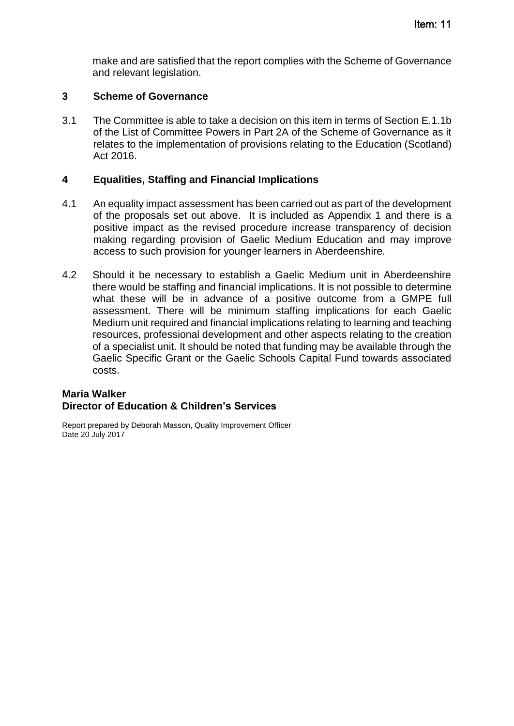make and are satisfied that the report complies with the Scheme of Governance and relevant legislation.

# **3 Scheme of Governance**

3.1 The Committee is able to take a decision on this item in terms of Section E.1.1b of the List of Committee Powers in Part 2A of the Scheme of Governance as it relates to the implementation of provisions relating to the Education (Scotland) Act 2016.

#### **4 Equalities, Staffing and Financial Implications**

- 4.1 An equality impact assessment has been carried out as part of the development of the proposals set out above. It is included as Appendix 1 and there is a positive impact as the revised procedure increase transparency of decision making regarding provision of Gaelic Medium Education and may improve access to such provision for younger learners in Aberdeenshire.
- 4.2 Should it be necessary to establish a Gaelic Medium unit in Aberdeenshire there would be staffing and financial implications. It is not possible to determine what these will be in advance of a positive outcome from a GMPE full assessment. There will be minimum staffing implications for each Gaelic Medium unit required and financial implications relating to learning and teaching resources, professional development and other aspects relating to the creation of a specialist unit. It should be noted that funding may be available through the Gaelic Specific Grant or the Gaelic Schools Capital Fund towards associated costs.

# **Maria Walker Director of Education & Children's Services**

Report prepared by Deborah Masson, Quality Improvement Officer Date 20 July 2017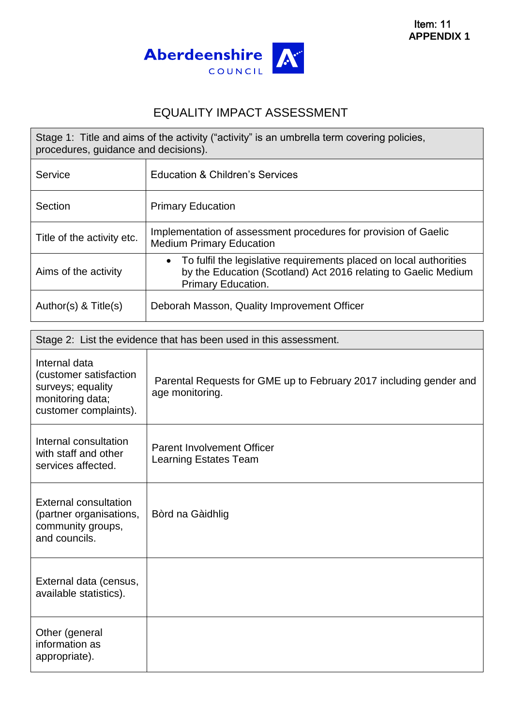

# EQUALITY IMPACT ASSESSMENT

| Stage 1: Title and aims of the activity ("activity" is an umbrella term covering policies,<br>procedures, guidance and decisions). |                                                                                                                                                                         |  |
|------------------------------------------------------------------------------------------------------------------------------------|-------------------------------------------------------------------------------------------------------------------------------------------------------------------------|--|
| Service                                                                                                                            | Education & Children's Services                                                                                                                                         |  |
| Section                                                                                                                            | <b>Primary Education</b>                                                                                                                                                |  |
| Title of the activity etc.                                                                                                         | Implementation of assessment procedures for provision of Gaelic<br><b>Medium Primary Education</b>                                                                      |  |
| Aims of the activity                                                                                                               | To fulfil the legislative requirements placed on local authorities<br>$\bullet$<br>by the Education (Scotland) Act 2016 relating to Gaelic Medium<br>Primary Education. |  |
| Author(s) $<$ Title(s)                                                                                                             | Deborah Masson, Quality Improvement Officer                                                                                                                             |  |

|                                                                                                           | Stage 2: List the evidence that has been used in this assessment.                     |
|-----------------------------------------------------------------------------------------------------------|---------------------------------------------------------------------------------------|
| Internal data<br>(customer satisfaction<br>surveys; equality<br>monitoring data;<br>customer complaints). | Parental Requests for GME up to February 2017 including gender and<br>age monitoring. |
| Internal consultation<br>with staff and other<br>services affected.                                       | <b>Parent Involvement Officer</b><br><b>Learning Estates Team</b>                     |
| <b>External consultation</b><br>(partner organisations,<br>community groups,<br>and councils.             | Bòrd na Gàidhlig                                                                      |
| External data (census,<br>available statistics).                                                          |                                                                                       |
| Other (general<br>information as<br>appropriate).                                                         |                                                                                       |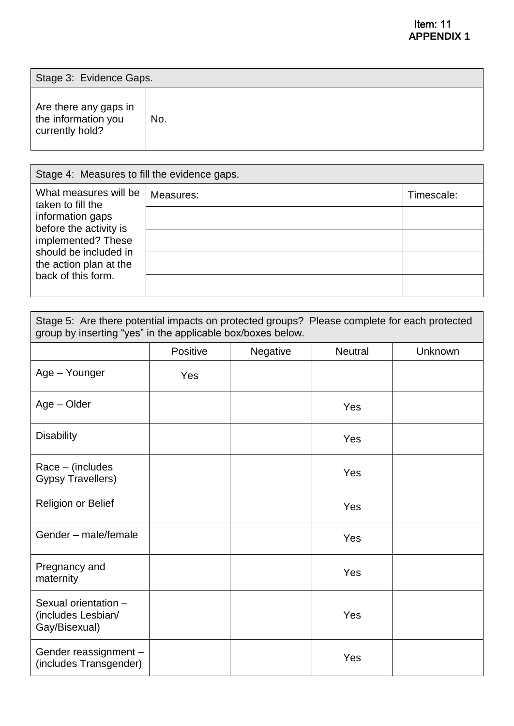| Stage 3: Evidence Gaps.                                         |     |  |
|-----------------------------------------------------------------|-----|--|
| Are there any gaps in<br>the information you<br>currently hold? | No. |  |

| Stage 4: Measures to fill the evidence gaps.                                                                                                                      |           |            |
|-------------------------------------------------------------------------------------------------------------------------------------------------------------------|-----------|------------|
| What measures will be<br>taken to fill the<br>information gaps<br>before the activity is<br>implemented? These<br>should be included in<br>the action plan at the | Measures: | Timescale: |
|                                                                                                                                                                   |           |            |
|                                                                                                                                                                   |           |            |
|                                                                                                                                                                   |           |            |
| back of this form.                                                                                                                                                |           |            |

| Stage 5: Are there potential impacts on protected groups? Please complete for each protected<br>group by inserting "yes" in the applicable box/boxes below. |          |          |                |         |
|-------------------------------------------------------------------------------------------------------------------------------------------------------------|----------|----------|----------------|---------|
|                                                                                                                                                             | Positive | Negative | <b>Neutral</b> | Unknown |
| Age - Younger                                                                                                                                               | Yes      |          |                |         |
| Age - Older                                                                                                                                                 |          |          | Yes            |         |
| <b>Disability</b>                                                                                                                                           |          |          | Yes            |         |
| Race – (includes<br><b>Gypsy Travellers)</b>                                                                                                                |          |          | Yes            |         |
| <b>Religion or Belief</b>                                                                                                                                   |          |          | Yes            |         |
| Gender - male/female                                                                                                                                        |          |          | Yes            |         |
| Pregnancy and<br>maternity                                                                                                                                  |          |          | Yes            |         |
| Sexual orientation -<br>(includes Lesbian/<br>Gay/Bisexual)                                                                                                 |          |          | Yes            |         |
| Gender reassignment -<br>(includes Transgender)                                                                                                             |          |          | Yes            |         |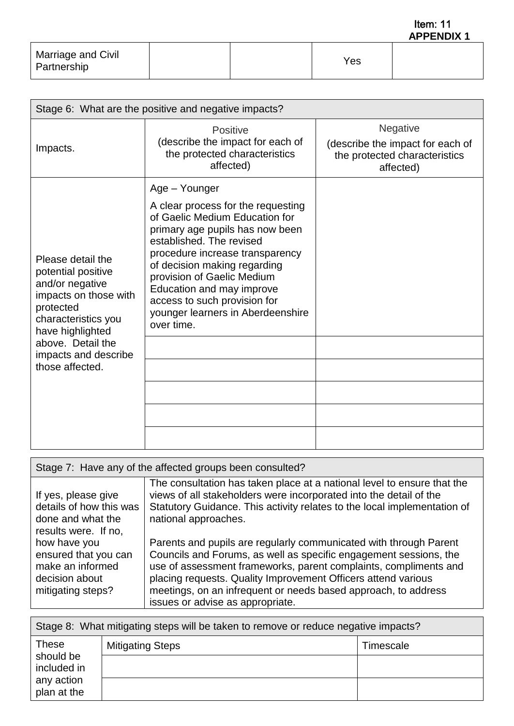**APPENDIX 1** Item: 11

| Marriage and Civil<br>Partnership |  | Yes. |  |
|-----------------------------------|--|------|--|
|                                   |  |      |  |

| Stage 6: What are the positive and negative impacts?                                                                                                                                                        |                                                                                                                                                                                                                                                                                                                                                                       |                                                                                            |  |  |
|-------------------------------------------------------------------------------------------------------------------------------------------------------------------------------------------------------------|-----------------------------------------------------------------------------------------------------------------------------------------------------------------------------------------------------------------------------------------------------------------------------------------------------------------------------------------------------------------------|--------------------------------------------------------------------------------------------|--|--|
| Impacts.                                                                                                                                                                                                    | Positive<br>(describe the impact for each of<br>the protected characteristics<br>affected)                                                                                                                                                                                                                                                                            | Negative<br>(describe the impact for each of<br>the protected characteristics<br>affected) |  |  |
| Please detail the<br>potential positive<br>and/or negative<br>impacts on those with<br>protected<br>characteristics you<br>have highlighted<br>above. Detail the<br>impacts and describe<br>those affected. | Age - Younger<br>A clear process for the requesting<br>of Gaelic Medium Education for<br>primary age pupils has now been<br>established. The revised<br>procedure increase transparency<br>of decision making regarding<br>provision of Gaelic Medium<br>Education and may improve<br>access to such provision for<br>younger learners in Aberdeenshire<br>over time. |                                                                                            |  |  |

| Stage 7: Have any of the affected groups been consulted?                                        |                                                                                                                                                                                                                                                                                                                                                                                   |  |
|-------------------------------------------------------------------------------------------------|-----------------------------------------------------------------------------------------------------------------------------------------------------------------------------------------------------------------------------------------------------------------------------------------------------------------------------------------------------------------------------------|--|
| If yes, please give<br>details of how this was<br>done and what the<br>results were. If no,     | The consultation has taken place at a national level to ensure that the<br>views of all stakeholders were incorporated into the detail of the<br>Statutory Guidance. This activity relates to the local implementation of<br>national approaches.                                                                                                                                 |  |
| how have you<br>ensured that you can<br>make an informed<br>decision about<br>mitigating steps? | Parents and pupils are regularly communicated with through Parent<br>Councils and Forums, as well as specific engagement sessions, the<br>use of assessment frameworks, parent complaints, compliments and<br>placing requests. Quality Improvement Officers attend various<br>meetings, on an infrequent or needs based approach, to address<br>issues or advise as appropriate. |  |

| Stage 8: What mitigating steps will be taken to remove or reduce negative impacts? |                         |           |
|------------------------------------------------------------------------------------|-------------------------|-----------|
| <b>These</b>                                                                       | <b>Mitigating Steps</b> | Timescale |
| should be<br>included in                                                           |                         |           |
| any action<br>plan at the                                                          |                         |           |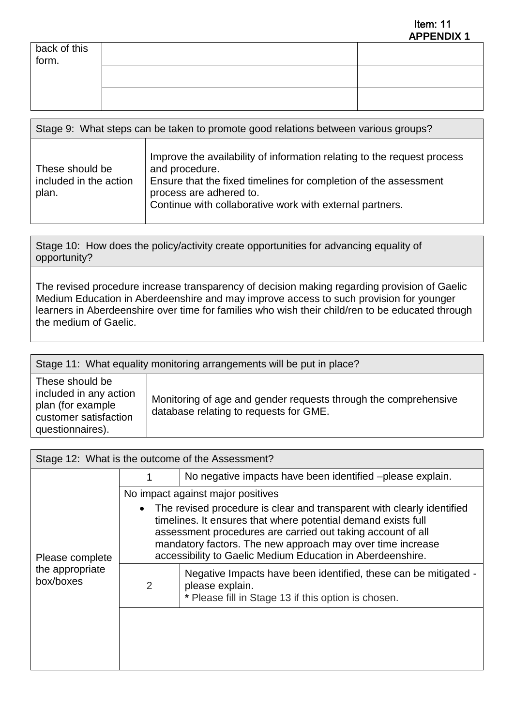|                       | . |
|-----------------------|---|
| back of this<br>form. |   |
|                       |   |
|                       |   |

| Stage 9: What steps can be taken to promote good relations between various groups? |                                                                                                                                                                                                                                                      |  |
|------------------------------------------------------------------------------------|------------------------------------------------------------------------------------------------------------------------------------------------------------------------------------------------------------------------------------------------------|--|
| These should be<br>included in the action<br>plan.                                 | Improve the availability of information relating to the request process<br>and procedure.<br>Ensure that the fixed timelines for completion of the assessment<br>process are adhered to.<br>Continue with collaborative work with external partners. |  |

Stage 10: How does the policy/activity create opportunities for advancing equality of opportunity?

The revised procedure increase transparency of decision making regarding provision of Gaelic Medium Education in Aberdeenshire and may improve access to such provision for younger learners in Aberdeenshire over time for families who wish their child/ren to be educated through the medium of Gaelic.

|                                                                                                             | Stage 11: What equality monitoring arrangements will be put in place?                                     |
|-------------------------------------------------------------------------------------------------------------|-----------------------------------------------------------------------------------------------------------|
| These should be<br>included in any action<br>plan (for example<br>customer satisfaction<br>questionnaires). | Monitoring of age and gender requests through the comprehensive<br>database relating to requests for GME. |

|                              |   | Stage 12: What is the outcome of the Assessment?                                                                                                                                                                                                                                                                                   |
|------------------------------|---|------------------------------------------------------------------------------------------------------------------------------------------------------------------------------------------------------------------------------------------------------------------------------------------------------------------------------------|
|                              |   | No negative impacts have been identified -please explain.                                                                                                                                                                                                                                                                          |
|                              |   | No impact against major positives                                                                                                                                                                                                                                                                                                  |
| Please complete              |   | The revised procedure is clear and transparent with clearly identified<br>timelines. It ensures that where potential demand exists full<br>assessment procedures are carried out taking account of all<br>mandatory factors. The new approach may over time increase<br>accessibility to Gaelic Medium Education in Aberdeenshire. |
| the appropriate<br>box/boxes | 2 | Negative Impacts have been identified, these can be mitigated -<br>please explain.<br>* Please fill in Stage 13 if this option is chosen.                                                                                                                                                                                          |
|                              |   |                                                                                                                                                                                                                                                                                                                                    |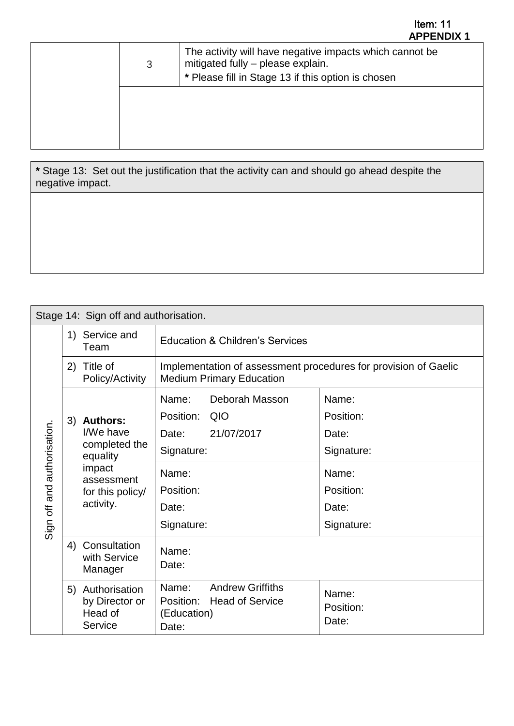| 3 | The activity will have negative impacts which cannot be<br>mitigated fully - please explain.<br>* Please fill in Stage 13 if this option is chosen |
|---|----------------------------------------------------------------------------------------------------------------------------------------------------|
|   |                                                                                                                                                    |

**\*** Stage 13: Set out the justification that the activity can and should go ahead despite the negative impact.

|                                  | Stage 14: Sign off and authorisation.                                                                          |                                                                                                                            |                                                                                        |
|----------------------------------|----------------------------------------------------------------------------------------------------------------|----------------------------------------------------------------------------------------------------------------------------|----------------------------------------------------------------------------------------|
|                                  | 1) Service and<br>Team                                                                                         | <b>Education &amp; Children's Services</b>                                                                                 |                                                                                        |
|                                  | Title of<br>2)<br>Policy/Activity                                                                              | Implementation of assessment procedures for provision of Gaelic<br><b>Medium Primary Education</b>                         |                                                                                        |
| and authorisation.<br>Sign off a | 3) Authors:<br>I/We have<br>completed the<br>equality<br>impact<br>assessment<br>for this policy/<br>activity. | Name:<br>Deborah Masson<br>Position: QIO<br>21/07/2017<br>Date:<br>Signature:<br>Name:<br>Position:<br>Date:<br>Signature: | Name:<br>Position:<br>Date:<br>Signature:<br>Name:<br>Position:<br>Date:<br>Signature: |
|                                  | 4) Consultation<br>with Service<br>Manager                                                                     | Name:<br>Date:                                                                                                             |                                                                                        |
|                                  | 5) Authorisation<br>by Director or<br>Head of<br>Service                                                       | <b>Andrew Griffiths</b><br>Name:<br>Position:<br><b>Head of Service</b><br>(Education)<br>Date:                            | Name:<br>Position:<br>Date:                                                            |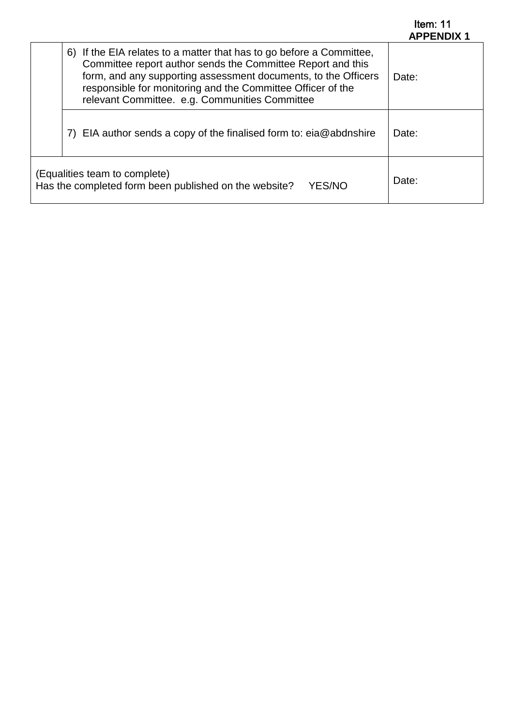| Item: $11$        |  |
|-------------------|--|
| <b>APPENDIX 1</b> |  |

| 6) If the EIA relates to a matter that has to go before a Committee,<br>Committee report author sends the Committee Report and this<br>form, and any supporting assessment documents, to the Officers<br>responsible for monitoring and the Committee Officer of the<br>relevant Committee. e.g. Communities Committee | Date: |
|------------------------------------------------------------------------------------------------------------------------------------------------------------------------------------------------------------------------------------------------------------------------------------------------------------------------|-------|
| EIA author sends a copy of the finalised form to: $ei@abdnshire$                                                                                                                                                                                                                                                       | Date: |
| (Equalities team to complete)<br>Has the completed form been published on the website?<br><b>YES/NO</b>                                                                                                                                                                                                                | Date: |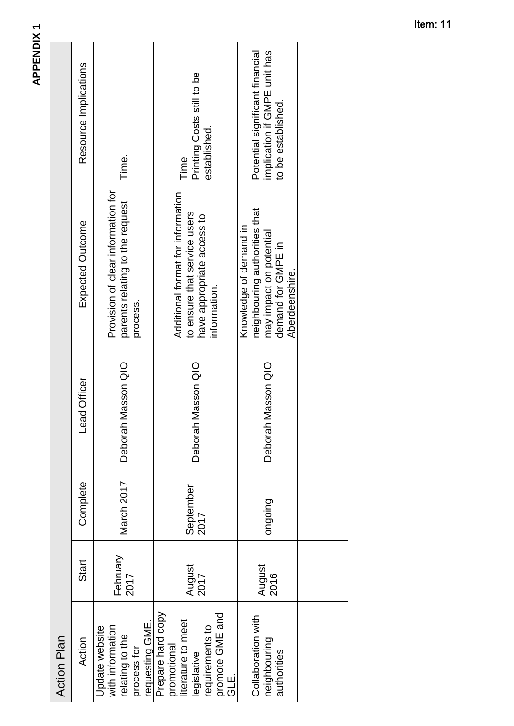| <b>Action Plan</b>                                                                                                |                  |                   |                    |                                                                                                                            |                                                                                       |
|-------------------------------------------------------------------------------------------------------------------|------------------|-------------------|--------------------|----------------------------------------------------------------------------------------------------------------------------|---------------------------------------------------------------------------------------|
| Action                                                                                                            | Start            | Complete          | ead Officer        | Expected Outcome                                                                                                           | Resource Implications                                                                 |
| requesting GME.<br>with information<br>Update website<br>relating to the<br>process for                           | February<br>2017 | March 2017        | Deborah Masson QIO | Provision of clear information for<br>parents relating to the request<br>process.                                          | Time.                                                                                 |
| Prepare hard copy<br>promote GME and<br>iterature to meet<br>requirements to<br>promotional<br>egislative<br>GLE. | August<br>2017   | September<br>2017 | Deborah Masson QIO | Additional format for information<br>to ensure that service users<br>have appropriate access to<br>information.            | Printing Costs still to be<br>established.<br>Time                                    |
| Collaboration with<br>neighbouring<br>authorities                                                                 | August<br>2016   | puiopuo           | Deborah Masson QIO | neighbouring authorities that<br>Knowledge of demand in<br>may impact on potential<br>demand for GMPE in<br>Aberdeenshire. | implication if GMPE unit has<br>Potential significant financial<br>to be established. |
|                                                                                                                   |                  |                   |                    |                                                                                                                            |                                                                                       |
|                                                                                                                   |                  |                   |                    |                                                                                                                            |                                                                                       |

**APPENDIX1 APPENDIX 1**